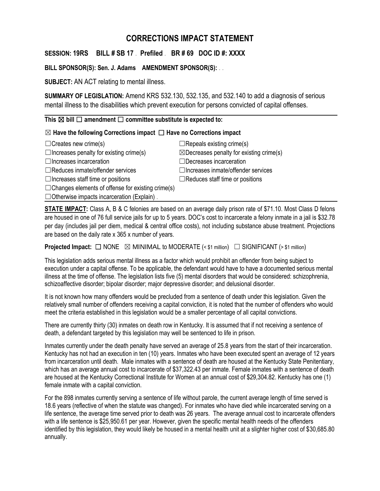## **CORRECTIONS IMPACT STATEMENT**

**SESSION: 19RS BILL # SB 17** . **Prefiled** . **BR # 69 DOC ID #: XXXX**

**BILL SPONSOR(S): Sen. J. Adams AMENDMENT SPONSOR(S):** . .

**SUBJECT:** AN ACT relating to mental illness.

**SUMMARY OF LEGISLATION:** Amend KRS 532.130, 532.135, and 532.140 to add a diagnosis of serious mental illness to the disabilities which prevent execution for persons convicted of capital offenses.

**This** ☒ **bill** ☐ **amendment** ☐ **committee substitute is expected to:**

## ☒ **Have the following Corrections impact** ☐ **Have no Corrections impact**

| $\Box$ Creates new crime(s)                              | $\Box$ Repeals existing crime(s)                    |
|----------------------------------------------------------|-----------------------------------------------------|
| $\Box$ Increases penalty for existing crime(s)           | $\boxtimes$ Decreases penalty for existing crime(s) |
| $\Box$ Increases incarceration                           | $\Box$ Decreases incarceration                      |
| $\Box$ Reduces inmate/offender services                  | $\Box$ Increases inmate/offender services           |
| $\Box$ Increases staff time or positions                 | $\Box$ Reduces staff time or positions              |
| $\Box$ Changes elements of offense for existing crime(s) |                                                     |
| $\Box$ Otherwise impacts incarceration (Explain).        |                                                     |

**STATE IMPACT:** Class A, B & C felonies are based on an average daily prison rate of \$71.10. Most Class D felons are housed in one of 76 full service jails for up to 5 years. DOC's cost to incarcerate a felony inmate in a jail is \$32.78 per day (includes jail per diem, medical & central office costs), not including substance abuse treatment. Projections are based on the daily rate x 365 x number of years.

**Projected Impact:**  $□$  NONE  $□$  MINIMAL to MODERATE (< \$1 million)  $□$  SIGNIFICANT (> \$1 million)

This legislation adds serious mental illness as a factor which would prohibit an offender from being subject to execution under a capital offense. To be applicable, the defendant would have to have a documented serious mental illness at the time of offense. The legislation lists five (5) mental disorders that would be considered: schizophrenia, schizoaffective disorder; bipolar disorder; major depressive disorder; and delusional disorder.

It is not known how many offenders would be precluded from a sentence of death under this legislation. Given the relatively small number of offenders receiving a capital conviction, it is noted that the number of offenders who would meet the criteria established in this legislation would be a smaller percentage of all capital convictions.

There are currently thirty (30) inmates on death row in Kentucky. It is assumed that if not receiving a sentence of death, a defendant targeted by this legislation may well be sentenced to life in prison.

Inmates currently under the death penalty have served an average of 25.8 years from the start of their incarceration. Kentucky has not had an execution in ten (10) years. Inmates who have been executed spent an average of 12 years from incarceration until death. Male inmates with a sentence of death are housed at the Kentucky State Penitentiary, which has an average annual cost to incarcerate of \$37,322.43 per inmate. Female inmates with a sentence of death are housed at the Kentucky Correctional Institute for Women at an annual cost of \$29,304.82. Kentucky has one (1) female inmate with a capital conviction.

For the 898 inmates currently serving a sentence of life without parole, the current average length of time served is 18.6 years (reflective of when the statute was changed). For inmates who have died while incarcerated serving on a life sentence, the average time served prior to death was 26 years. The average annual cost to incarcerate offenders with a life sentence is \$25,950.61 per year. However, given the specific mental health needs of the offenders identified by this legislation, they would likely be housed in a mental health unit at a slighter higher cost of \$30,685.80 annually.